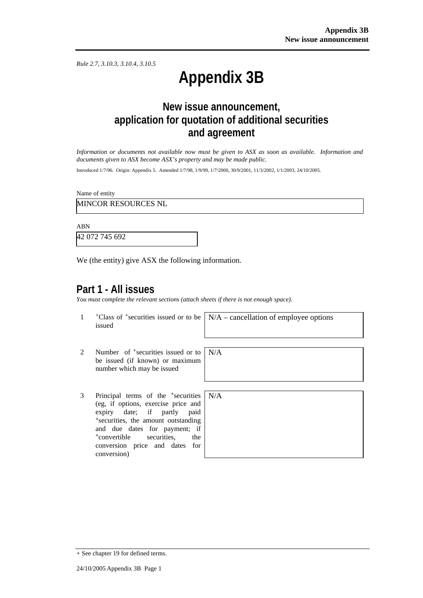*Rule 2.7, 3.10.3, 3.10.4, 3.10.5*

# **Appendix 3B**

# **New issue announcement, application for quotation of additional securities and agreement**

*Information or documents not available now must be given to ASX as soon as available. Information and documents given to ASX become ASX's property and may be made public.* 

Introduced 1/7/96. Origin: Appendix 5. Amended 1/7/98, 1/9/99, 1/7/2000, 30/9/2001, 11/3/2002, 1/1/2003, 24/10/2005.

Name of entity

MINCOR RESOURCES NL

ABN

42 072 745 692

We (the entity) give ASX the following information.

## **Part 1 - All issues**

*You must complete the relevant sections (attach sheets if there is not enough space).*

N/A

1 +Class of +securities issued or to be issued

N/A – cancellation of employee options

- 2 Number of <sup>+</sup>securities issued or to be issued (if known) or maximum number which may be issued
- 3 Principal terms of the +securities (eg, if options, exercise price and expiry date; if partly paid <sup>+</sup>securities, the amount outstanding and due dates for payment; if <sup>+</sup>convertible securities, the conversion price and dates for conversion)

| $\mathbf{\hat{s}}$       | N/A |
|--------------------------|-----|
| l                        |     |
| l                        |     |
| 3<br>$\mathbf{\dot{f}}$  |     |
| $\overline{\phantom{a}}$ |     |
| r                        |     |
|                          |     |

<sup>+</sup> See chapter 19 for defined terms.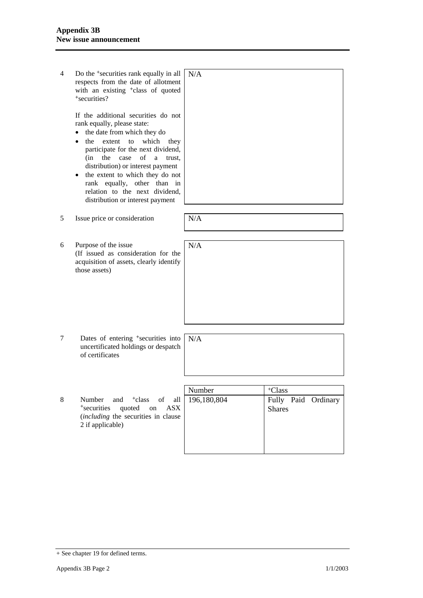| 4 | Do the <sup>+</sup> securities rank equally in all<br>respects from the date of allotment<br>with an existing <sup>+</sup> class of quoted<br>*securities?<br>If the additional securities do not<br>rank equally, please state:<br>the date from which they do<br>the<br>extent<br>to<br>which<br>they<br>participate for the next dividend,<br>of<br>(in<br>the<br>case<br>a<br>trust.<br>distribution) or interest payment<br>the extent to which they do not<br>rank equally, other than in<br>relation to the next dividend,<br>distribution or interest payment | N/A                   |                                                            |
|---|-----------------------------------------------------------------------------------------------------------------------------------------------------------------------------------------------------------------------------------------------------------------------------------------------------------------------------------------------------------------------------------------------------------------------------------------------------------------------------------------------------------------------------------------------------------------------|-----------------------|------------------------------------------------------------|
| 5 | Issue price or consideration                                                                                                                                                                                                                                                                                                                                                                                                                                                                                                                                          | N/A                   |                                                            |
| 6 | Purpose of the issue<br>(If issued as consideration for the<br>acquisition of assets, clearly identify<br>those assets)                                                                                                                                                                                                                                                                                                                                                                                                                                               | N/A                   |                                                            |
| 7 | Dates of entering <sup>+</sup> securities into<br>uncertificated holdings or despatch<br>of certificates                                                                                                                                                                                                                                                                                                                                                                                                                                                              | N/A                   |                                                            |
| 8 | Number<br><sup>+</sup> class<br>and<br>of<br>all<br><sup>+</sup> securities<br>quoted<br><b>ASX</b><br>on<br>(including the securities in clause<br>2 if applicable)                                                                                                                                                                                                                                                                                                                                                                                                  | Number<br>196,180,804 | <sup>+</sup> Class<br>Fully Paid Ordinary<br><b>Shares</b> |

<sup>+</sup> See chapter 19 for defined terms.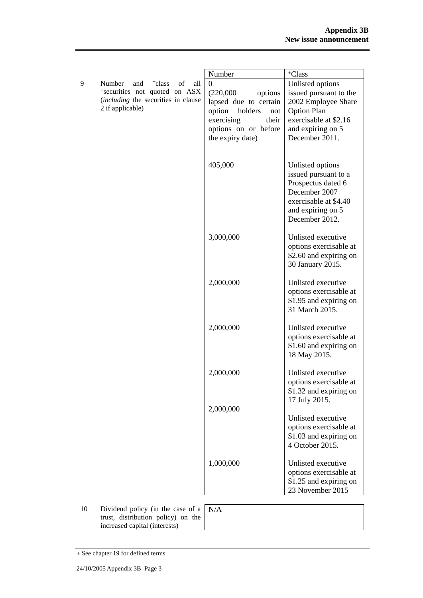|   |                                                                      | Number                                            | <sup>+</sup> Class                               |
|---|----------------------------------------------------------------------|---------------------------------------------------|--------------------------------------------------|
| 9 | <sup>+</sup> class<br>of<br>Number<br>and<br>all                     | $\theta$                                          | Unlisted options                                 |
|   | *securities not quoted on ASX<br>(including the securities in clause | (220,000)<br>options                              | issued pursuant to the                           |
|   | 2 if applicable)                                                     | lapsed due to certain<br>option<br>holders<br>not | 2002 Employee Share<br><b>Option Plan</b>        |
|   |                                                                      | exercising<br>their                               | exercisable at \$2.16                            |
|   |                                                                      | options on or before                              | and expiring on 5                                |
|   |                                                                      | the expiry date)                                  | December 2011.                                   |
|   |                                                                      |                                                   |                                                  |
|   |                                                                      | 405,000                                           | Unlisted options                                 |
|   |                                                                      |                                                   | issued pursuant to a                             |
|   |                                                                      |                                                   | Prospectus dated 6                               |
|   |                                                                      |                                                   | December 2007                                    |
|   |                                                                      |                                                   | exercisable at \$4.40                            |
|   |                                                                      |                                                   | and expiring on 5                                |
|   |                                                                      |                                                   | December 2012.                                   |
|   |                                                                      | 3,000,000                                         | Unlisted executive                               |
|   |                                                                      |                                                   | options exercisable at                           |
|   |                                                                      |                                                   | \$2.60 and expiring on                           |
|   |                                                                      |                                                   | 30 January 2015.                                 |
|   |                                                                      | 2,000,000                                         | Unlisted executive                               |
|   |                                                                      |                                                   | options exercisable at                           |
|   |                                                                      |                                                   | \$1.95 and expiring on                           |
|   |                                                                      |                                                   | 31 March 2015.                                   |
|   |                                                                      | 2,000,000                                         | Unlisted executive                               |
|   |                                                                      |                                                   | options exercisable at                           |
|   |                                                                      |                                                   | \$1.60 and expiring on                           |
|   |                                                                      |                                                   | 18 May 2015.                                     |
|   |                                                                      | 2,000,000                                         | Unlisted executive                               |
|   |                                                                      |                                                   | options exercisable at                           |
|   |                                                                      |                                                   | \$1.32 and expiring on                           |
|   |                                                                      |                                                   | 17 July 2015.                                    |
|   |                                                                      | 2,000,000                                         |                                                  |
|   |                                                                      |                                                   | Unlisted executive                               |
|   |                                                                      |                                                   | options exercisable at<br>\$1.03 and expiring on |
|   |                                                                      |                                                   | 4 October 2015.                                  |
|   |                                                                      |                                                   |                                                  |
|   |                                                                      | 1,000,000                                         | Unlisted executive                               |
|   |                                                                      |                                                   | options exercisable at                           |
|   |                                                                      |                                                   | \$1.25 and expiring on                           |
|   |                                                                      |                                                   | 23 November 2015                                 |
|   |                                                                      |                                                   |                                                  |

10 Dividend policy (in the case of a trust, distribution policy) on the increased capital (interests)

N/A

<sup>+</sup> See chapter 19 for defined terms.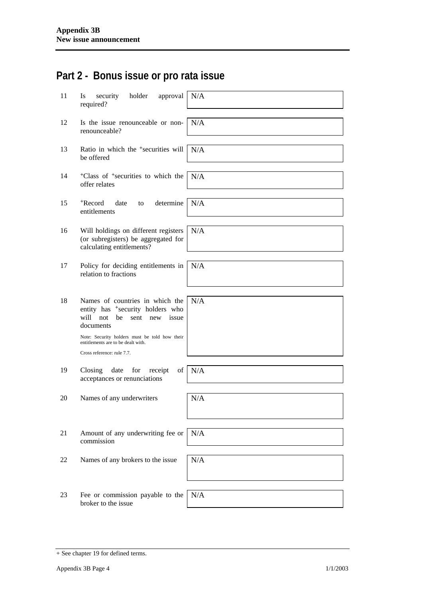# **Part 2 - Bonus issue or pro rata issue**

| 11 | security<br>holder<br>approval<br><b>Is</b><br>required?                                                                            | N/A |
|----|-------------------------------------------------------------------------------------------------------------------------------------|-----|
| 12 | Is the issue renounceable or non-<br>renounceable?                                                                                  | N/A |
| 13 | Ratio in which the <sup>+</sup> securities will<br>be offered                                                                       | N/A |
| 14 | <sup>+</sup> Class of <sup>+</sup> securities to which the<br>offer relates                                                         | N/A |
| 15 | +Record<br>date<br>determine<br>to<br>entitlements                                                                                  | N/A |
| 16 | Will holdings on different registers<br>(or subregisters) be aggregated for<br>calculating entitlements?                            | N/A |
| 17 | Policy for deciding entitlements in<br>relation to fractions                                                                        | N/A |
| 18 | Names of countries in which the<br>entity has <sup>+</sup> security holders who<br>will not<br>be<br>issue<br>sent new<br>documents | N/A |
|    | Note: Security holders must be told how their<br>entitlements are to be dealt with.<br>Cross reference: rule 7.7.                   |     |
| 19 | Closing<br>for<br>of<br>date<br>receipt<br>acceptances or renunciations                                                             | N/A |
| 20 | Names of any underwriters                                                                                                           | N/A |
| 21 | Amount of any underwriting fee or<br>commission                                                                                     | N/A |
| 22 | Names of any brokers to the issue                                                                                                   | N/A |
| 23 | Fee or commission payable to the<br>broker to the issue                                                                             | N/A |

<sup>+</sup> See chapter 19 for defined terms.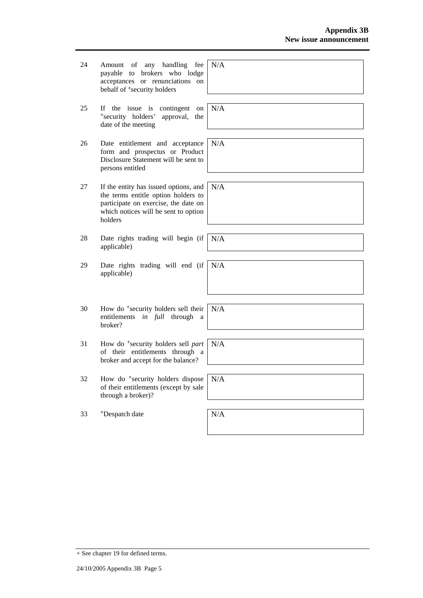| 24 | handling<br>fee<br>Amount<br>any<br>of<br>brokers who lodge<br>payable<br>to<br>acceptances or renunciations on<br>behalf of <sup>+</sup> security holders              | N/A |
|----|-------------------------------------------------------------------------------------------------------------------------------------------------------------------------|-----|
| 25 | If the issue is<br>contingent<br>on<br>*security holders'<br>approval,<br>the<br>date of the meeting                                                                    | N/A |
| 26 | Date entitlement and acceptance<br>form and prospectus or Product<br>Disclosure Statement will be sent to<br>persons entitled                                           | N/A |
| 27 | If the entity has issued options, and<br>the terms entitle option holders to<br>participate on exercise, the date on<br>which notices will be sent to option<br>holders | N/A |
| 28 | Date rights trading will begin (if<br>applicable)                                                                                                                       | N/A |
| 29 | Date rights trading will end (if<br>applicable)                                                                                                                         | N/A |
| 30 | How do <sup>+</sup> security holders sell their<br>entitlements in full through<br>a<br>broker?                                                                         | N/A |
| 31 | How do <sup>+</sup> security holders sell part<br>of their entitlements through a<br>broker and accept for the balance?                                                 | N/A |
| 32 | How do <sup>+</sup> security holders dispose<br>of their entitlements (except by sale<br>through a broker)?                                                             | N/A |
| 33 | <sup>+</sup> Despatch date                                                                                                                                              | N/A |

+ See chapter 19 for defined terms.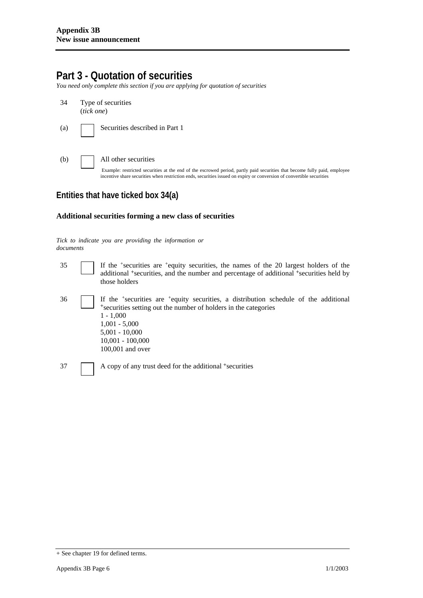## **Part 3 - Quotation of securities**

*You need only complete this section if you are applying for quotation of securities* 

- 34 Type of securities (*tick one*)
- (a) Securities described in Part 1
- (b) All other securities

Example: restricted securities at the end of the escrowed period, partly paid securities that become fully paid, employee incentive share securities when restriction ends, securities issued on expiry or conversion of convertible securities

### **Entities that have ticked box 34(a)**

#### **Additional securities forming a new class of securities**

#### *Tick to indicate you are providing the information or documents*

35 If the +securities are +equity securities, the names of the 20 largest holders of the additional <sup>+</sup>securities, and the number and percentage of additional <sup>+</sup>securities held by those holders 36 If the +securities are +equity securities, a distribution schedule of the additional <sup>+</sup>securities setting out the number of holders in the categories  $1 - 1,000$ 1,001 - 5,000 5,001 - 10,000 10,001 - 100,000 100,001 and over 37 A copy of any trust deed for the additional +securities

<sup>+</sup> See chapter 19 for defined terms.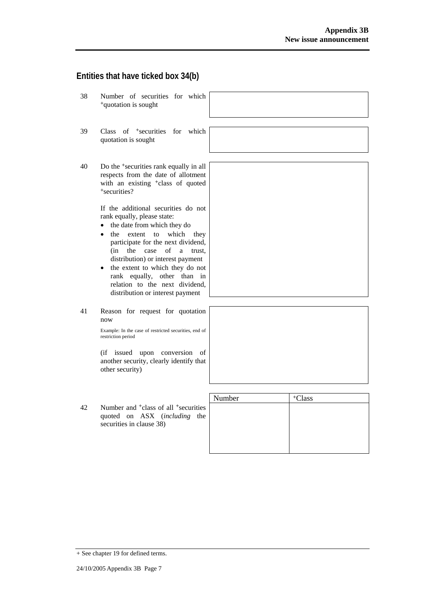#### **Entities that have ticked box 34(b)**

- 38 Number of securities for which <sup>+</sup>quotation is sought
- 39 Class of +securities for which quotation is sought
- 40 Do the +securities rank equally in all respects from the date of allotment with an existing <sup>+</sup>class of quoted <sup>+</sup>securities?

If the additional securities do not rank equally, please state:

- the date from which they do
- the extent to which they participate for the next dividend, (in the case of a trust, distribution) or interest payment
- the extent to which they do not rank equally, other than in relation to the next dividend, distribution or interest payment
- 41 Reason for request for quotation now

Example: In the case of restricted securities, end of restriction period

(if issued upon conversion of another security, clearly identify that other security)

|    |                                                                                                                          | Number | <sup>+</sup> Class |
|----|--------------------------------------------------------------------------------------------------------------------------|--------|--------------------|
| 42 | Number and <sup>+</sup> class of all <sup>+</sup> securities<br>quoted on ASX (including the<br>securities in clause 38) |        |                    |
|    |                                                                                                                          |        |                    |

+ See chapter 19 for defined terms.